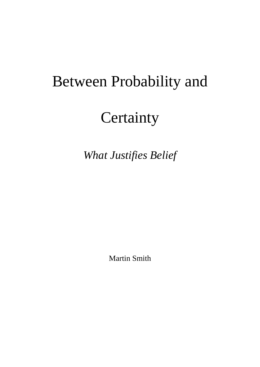# Between Probability and

## **Certainty**

*What Justifies Belief*

Martin Smith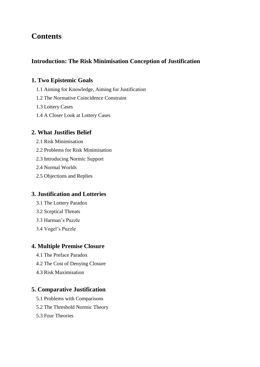#### **Contents**

#### **Introduction: The Risk Minimisation Conception of Justification**

#### **1. Two Epistemic Goals**

- 1.1 Aiming for Knowledge, Aiming for Justification
- 1.2 The Normative Coincidence Constraint
- 1.3 Lottery Cases
- 1.4 A Closer Look at Lottery Cases

#### **2. What Justifies Belief**

- 2.1 Risk Minimisation
- 2.2 Problems for Risk Minimisation
- 2.3 Introducing Normic Support
- 2.4 Normal Worlds
- 2.5 Objections and Replies

#### **3. Justification and Lotteries**

- 3.1 The Lottery Paradox
- 3.2 Sceptical Threats
- 3.3 Harman's Puzzle
- 3.4 Vogel's Puzzle

#### **4. Multiple Premise Closure**

- 4.1 The Preface Paradox
- 4.2 The Cost of Denying Closure
- 4.3 Risk Maximisation

#### **5. Comparative Justification**

- 5.1 Problems with Comparisons
- 5.2 The Threshold Normic Theory
- 5.3 Four Theories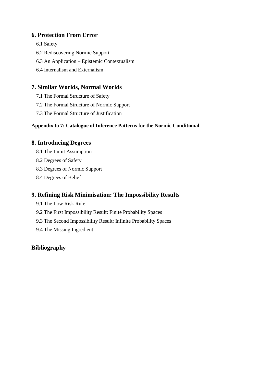#### **6. Protection From Error**

- 6.1 Safety
- 6.2 Rediscovering Normic Support
- 6.3 An Application Epistemic Contextualism
- 6.4 Internalism and Externalism

#### **7. Similar Worlds, Normal Worlds**

- 7.1 The Formal Structure of Safety
- 7.2 The Formal Structure of Normic Support
- 7.3 The Formal Structure of Justification

#### **Appendix to 7: Catalogue of Inference Patterns for the Normic Conditional**

#### **8. Introducing Degrees**

- 8.1 The Limit Assumption
- 8.2 Degrees of Safety
- 8.3 Degrees of Normic Support
- 8.4 Degrees of Belief

#### **9. Refining Risk Minimisation: The Impossibility Results**

- 9.1 The Low Risk Rule
- 9.2 The First Impossibility Result: Finite Probability Spaces
- 9.3 The Second Impossibility Result: Infinite Probability Spaces
- 9.4 The Missing Ingredient

#### **Bibliography**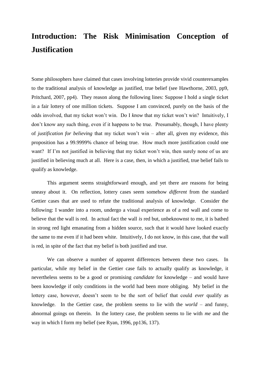### **Introduction: The Risk Minimisation Conception of Justification**

Some philosophers have claimed that cases involving lotteries provide vivid counterexamples to the traditional analysis of knowledge as justified, true belief (see Hawthorne, 2003, pp9, Pritchard, 2007, pp4). They reason along the following lines: Suppose I hold a single ticket in a fair lottery of one million tickets. Suppose I am convinced, purely on the basis of the odds involved, that my ticket won't win. Do I *know* that my ticket won't win? Intuitively, I don't know any such thing, even if it happens to be true. Presumably, though, I have plenty of *justification for believing* that my ticket won't win – after all, given my evidence, this proposition has a 99.9999% chance of being true. How much more justification could one want? If I'm not justified in believing that my ticket won't win, then surely none of us are justified in believing much at all. Here is a case, then, in which a justified, true belief fails to qualify as knowledge.

This argument seems straightforward enough, and yet there are reasons for being uneasy about it. On reflection, lottery cases seem somehow *different* from the standard Gettier cases that are used to refute the traditional analysis of knowledge. Consider the following: I wander into a room, undergo a visual experience as of a red wall and come to believe that the wall is red. In actual fact the wall *is* red but, unbeknownst to me, it is bathed in strong red light emanating from a hidden source, such that it would have looked exactly the same to me even if it had been white. Intuitively, I do not know, in this case, that the wall is red, in spite of the fact that my belief is both justified and true.

We can observe a number of apparent differences between these two cases. In particular, while my belief in the Gettier case fails to actually qualify as knowledge, it nevertheless seems to be a good or promising *candidate* for knowledge – and would have been knowledge if only conditions in the world had been more obliging. My belief in the lottery case, however, doesn't seem to be the sort of belief that could *ever* qualify as knowledge. In the Gettier case, the problem seems to lie with the *world* – and funny, abnormal goings on therein. In the lottery case, the problem seems to lie with *me* and the way in which I form my belief (see Ryan, 1996, pp136, 137).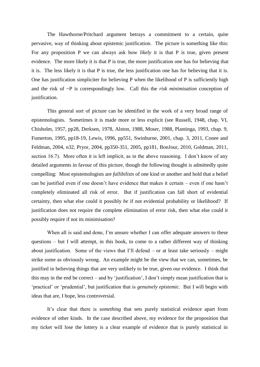The Hawthorne/Pritchard argument betrays a commitment to a certain, quite pervasive, way of thinking about epistemic justification. The picture is something like this: For any proposition P we can always ask how *likely* it is that P is true, given present evidence. The more likely it is that P is true, the more justification one has for believing that it is. The less likely it is that P is true, the less justification one has for believing that it is. One has justification simpliciter for believing P when the likelihood of P is sufficiently high and the risk of ~P is correspondingly low. Call this the *risk minimisation* conception of justification.

This general sort of picture can be identified in the work of a very broad range of epistemologists. Sometimes it is made more or less explicit (see Russell, 1948, chap. VI, Chisholm, 1957, pp28, Derksen, 1978, Alston, 1988, Moser, 1988, Plantinga, 1993, chap. 9, Fumerton, 1995, pp18-19, Lewis, 1996, pp551, Swinburne, 2001, chap. 3, 2011, Conee and Feldman, 2004, n32, Pryor, 2004, pp350-351, 2005, pp181, BonJour, 2010, Goldman, 2011, section 16.7). More often it is left implicit, as in the above reasoning. I don't know of any detailed arguments in favour of this picture, though the following thought is admittedly quite compelling: Most epistemologists are *fallibilists* of one kind or another and hold that a belief can be justified even if one doesn't have evidence that makes it certain – even if one hasn't completely eliminated all risk of error. But if justification can fall short of evidential certainty, then what else could it possibly *be* if not evidential probability or likelihood? If justification does not require the complete elimination of error risk, then what else could it possibly require if not its minimisation?

When all is said and done, I'm unsure whether I can offer adequate answers to these questions – but I will attempt, in this book, to come to a rather different way of thinking about justification. Some of the views that I'll defend – or at least take seriously – might strike some as obviously wrong. An example might be the view that we can, sometimes, be justified in believing things that are very unlikely to be true, given our evidence. I think that this may in the end be correct – and by 'justification', I don't simply mean justification that is 'practical' or 'prudential', but justification that is *genuinely epistemic*. But I will begin with ideas that are, I hope, less controversial.

It's clear that there is *something* that sets purely statistical evidence apart from evidence of other kinds. In the case described above, my evidence for the proposition that my ticket will lose the lottery is a clear example of evidence that is purely statistical in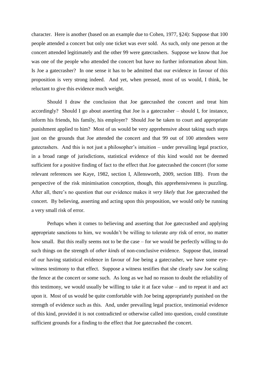character. Here is another (based on an example due to Cohen, 1977, §24): Suppose that 100 people attended a concert but only one ticket was ever sold. As such, only one person at the concert attended legitimately and the other 99 were gatecrashers. Suppose we know that Joe was one of the people who attended the concert but have no further information about him. Is Joe a gatecrasher? In one sense it has to be admitted that our evidence in favour of this proposition is very strong indeed. And yet, when pressed, most of us would, I think, be reluctant to give this evidence much weight.

Should I draw the conclusion that Joe gatecrashed the concert and treat him accordingly? Should I go about asserting that Joe is a gatecrasher – should I, for instance, inform his friends, his family, his employer? Should Joe be taken to court and appropriate punishment applied to him? Most of us would be very apprehensive about taking such steps just on the grounds that Joe attended the concert and that 99 out of 100 attendees were gatecrashers. And this is not just a philosopher's intuition – under prevailing legal practice, in a broad range of jurisdictions, statistical evidence of this kind would not be deemed sufficient for a positive finding of fact to the effect that Joe gatecrashed the concert (for some relevant references see Kaye, 1982, section I, Allensworth, 2009, section IIB). From the perspective of the risk minimisation conception, though, this apprehensiveness is puzzling. After all, there's no question that our evidence makes it *very likely* that Joe gatecrashed the concert. By believing, asserting and acting upon this proposition, we would only be running a very small risk of error.

Perhaps when it comes to believing and asserting that Joe gatecrashed and applying appropriate sanctions to him, we wouldn't be willing to tolerate *any* risk of error, no matter how small. But this really seems not to be the case – for we would be perfectly willing to do such things on the strength of *other kinds* of non-conclusive evidence. Suppose that, instead of our having statistical evidence in favour of Joe being a gatecrasher, we have some eyewitness testimony to that effect. Suppose a witness testifies that she clearly saw Joe scaling the fence at the concert or some such. As long as we had no reason to doubt the reliability of this testimony, we would usually be willing to take it at face value – and to repeat it and act upon it. Most of us would be quite comfortable with Joe being appropriately punished on the strength of evidence such as this. And, under prevailing legal practice, testimonial evidence of this kind, provided it is not contradicted or otherwise called into question, could constitute sufficient grounds for a finding to the effect that Joe gatecrashed the concert.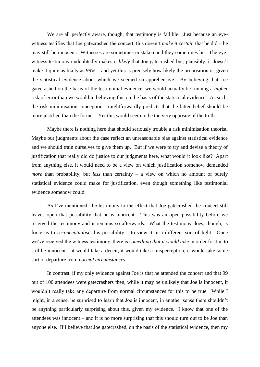We are all perfectly aware, though, that testimony is fallible. Just because an eyewitness testifies that Joe gatecrashed the concert, this doesn't *make it certain* that he did – he may still be innocent. Witnesses are sometimes mistaken and they sometimes lie. The eyewitness testimony undoubtedly makes it *likely* that Joe gatecrashed but, plausibly, it doesn't make it quite as likely as *99%* – and yet this is precisely how likely the proposition is, given the statistical evidence about which we seemed so apprehensive. By believing that Joe gatecrashed on the basis of the testimonial evidence, we would actually be running a *higher* risk of error than we would in believing this on the basis of the statistical evidence. As such, the risk minimisation conception straightforwardly predicts that the latter belief should be more justified than the former. Yet this would seem to be the very opposite of the truth.

Maybe there is nothing here that should seriously trouble a risk minimisation theorist. Maybe our judgments about the case reflect an unreasonable bias against statistical evidence and we should train ourselves to give them up. But if we were to try and devise a theory of justification that really did do justice to our judgments here, what would it look like? Apart from anything else, it would need to be a view on which justification somehow demanded *more* than probability, but *less* than certainty – a view on which no amount of purely statistical evidence could make for justification, even though something like testimonial evidence somehow could.

As I've mentioned, the testimony to the effect that Joe gatecrashed the concert still leaves open that possibility that he is innocent. This was an open possibility before we received the testimony and it remains so afterwards. What the testimony does, though, is force us to *reconceptualise* this possibility – to view it in a different sort of light. Once we've received the witness testimony, there is *something that it would take* in order for Joe to still be innocent – it would take a deceit, it would take a misperception, it would take some sort of departure from *normal circumstances*.

In contrast, if my only evidence against Joe is that he attended the concert and that 99 out of 100 attendees were gatecrashers then, while it may be unlikely that Joe is innocent, it wouldn't really take any departure from normal circumstances for this to be true. While I might, in a sense, be surprised to learn that Joe is innocent, in another sense there shouldn't be anything particularly surprising about this, given my evidence. I know that one of the attendees was innocent – and it is no more surprising that this should turn out to be Joe than anyone else. If I believe that Joe gatecrashed, on the basis of the statistical evidence, then my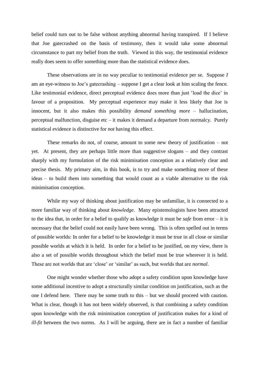belief could turn out to be false without anything abnormal having transpired. If I believe that Joe gatecrashed on the basis of testimony, then it would take some abnormal circumstance to part my belief from the truth. Viewed in this way, the testimonial evidence really does seem to offer something more than the statistical evidence does.

These observations are in no way peculiar to testimonial evidence per se. Suppose *I* am an eye-witness to Joe's gatecrashing – suppose I get a clear look at him scaling the fence. Like testimonial evidence, direct perceptual evidence does more than just 'load the dice' in favour of a proposition. My perceptual experience may make it less likely that Joe is innocent, but it also makes this possibility *demand something more* – hallucination, perceptual malfunction, disguise etc – it makes it demand a departure from normalcy. Purely statistical evidence is distinctive for *not* having this effect.

These remarks do not, of course, amount to some new theory of justification – not yet. At present, they are perhaps little more than suggestive slogans – and they contrast sharply with my formulation of the risk minimisation conception as a relatively clear and precise thesis. My primary aim, in this book, is to try and make something more of these ideas – to build them into something that would count as a viable alternative to the risk minimisation conception.

While my way of thinking about justification may be unfamiliar, it is connected to a more familiar way of thinking about *knowledge*. Many epistemologists have been attracted to the idea that, in order for a belief to qualify as knowledge it must be *safe* from error – it is necessary that the belief could not easily have been wrong. This is often spelled out in terms of possible worlds: In order for a belief to be knowledge it must be true in all close or similar possible worlds at which it is held. In order for a belief to be justified, on my view, there is also a set of possible worlds throughout which the belief must be true wherever it is held. These are not worlds that are 'close' or 'similar' as such, but worlds that are *normal*.

One might wonder whether those who adopt a safety condition upon knowledge have some additional incentive to adopt a structurally similar condition on justification, such as the one I defend here. There may be some truth to this – but we should proceed with caution. What is clear, though it has not been widely observed, is that combining a safety condition upon knowledge with the risk minimisation conception of justification makes for a kind of *ill-fit* between the two norms. As I will be arguing, there are in fact a number of familiar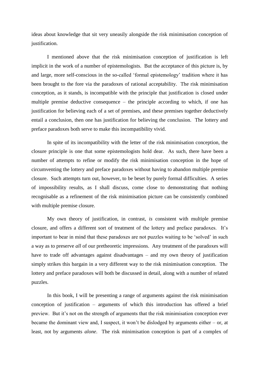ideas about knowledge that sit very uneasily alongside the risk minimisation conception of justification.

I mentioned above that the risk minimisation conception of justification is left implicit in the work of a number of epistemologists. But the acceptance of this picture is, by and large, more self-conscious in the so-called 'formal epistemology' tradition where it has been brought to the fore via the paradoxes of rational acceptability. The risk minimisation conception, as it stands, is incompatible with the principle that justification is closed under multiple premise deductive consequence – the principle according to which, if one has justification for believing each of a set of premises, and these premises together deductively entail a conclusion, then one has justification for believing the conclusion. The lottery and preface paradoxes both serve to make this incompatibility vivid.

In spite of its incompatibility with the letter of the risk minimisation conception, the closure principle is one that some epistemologists hold dear. As such, there have been a number of attempts to refine or modify the risk minimisation conception in the hope of circumventing the lottery and preface paradoxes without having to abandon multiple premise closure. Such attempts turn out, however, to be beset by purely formal difficulties. A series of impossibility results, as I shall discuss, come close to demonstrating that nothing recognisable as a refinement of the risk minimisation picture can be consistently combined with multiple premise closure.

My own theory of justification, in contrast, *is* consistent with multiple premise closure, and offers a different sort of treatment of the lottery and preface paradoxes. It's important to bear in mind that these paradoxes are not puzzles waiting to be 'solved' in such a way as to preserve *all* of our pretheoretic impressions. Any treatment of the paradoxes will have to trade off advantages against disadvantages – and my own theory of justification simply strikes this bargain in a very different way to the risk minimisation conception. The lottery and preface paradoxes will both be discussed in detail, along with a number of related puzzles.

In this book, I will be presenting a range of arguments against the risk minimisation conception of justification – arguments of which this introduction has offered a brief preview. But it's not on the strength of arguments that the risk minimisation conception ever became the dominant view and, I suspect, it won't be dislodged by arguments either – or, at least, not by arguments *alone*. The risk minimisation conception is part of a complex of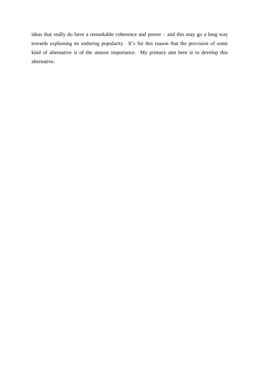ideas that really do have a remarkable coherence and power – and this may go a long way towards explaining its enduring popularity. It's for this reason that the provision of some kind of alternative is of the utmost importance. My primary aim here is to develop this alternative.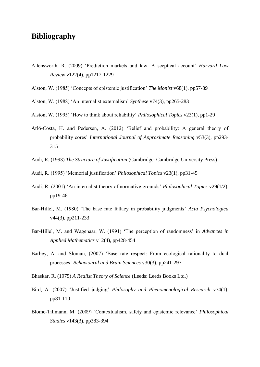#### **Bibliography**

- Allensworth, R. (2009) 'Prediction markets and law: A sceptical account' *Harvard Law Review* v122(4), pp1217-1229
- Alston, W. (1985) 'Concepts of epistemic justification' *The Monist* v68(1), pp57-89
- Alston, W. (1988) 'An internalist externalism' *Synthese* v74(3), pp265-283
- Alston, W. (1995) 'How to think about reliability' *Philosophical Topics* v23(1), pp1-29
- Arló-Costa, H. and Pedersen, A. (2012) 'Belief and probability: A general theory of probability cores' *International Journal of Approximate Reasoning* v53(3), pp293- 315
- Audi, R. (1993) *The Structure of Justification* (Cambridge: Cambridge University Press)
- Audi, R. (1995) 'Memorial justification' *Philosophical Topics* v23(1), pp31-45
- Audi, R. (2001) 'An internalist theory of normative grounds' *Philosophical Topics* v29(1/2), pp19-46
- Bar-Hillel, M. (1980) 'The base rate fallacy in probability judgments' *Acta Psychologica* v44(3), pp211-233
- Bar-Hillel, M. and Wagenaar, W. (1991) 'The perception of randomness' in *Advances in Applied Mathematics* v12(4), pp428-454
- Barbey, A. and Sloman, (2007) 'Base rate respect: From ecological rationality to dual processes' *Behavioural and Brain Sciences* v30(3), pp241-297
- Bhaskar, R. (1975) *A Realist Theory of Science* (Leeds: Leeds Books Ltd.)
- Bird, A. (2007) 'Justified judging' *Philosophy and Phenomenological Research* v74(1), pp81-110
- Blome-Tillmann, M. (2009) 'Contextualism, safety and epistemic relevance' *Philosophical Studies* v143(3), pp383-394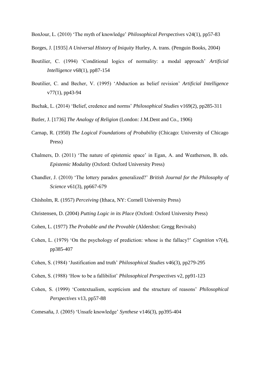BonJour, L. (2010) 'The myth of knowledge' *Philosophical Perspectives* v24(1), pp57-83

Borges, J. [1935] *A Universal History of Iniquity* Hurley, A. trans. (Penguin Books, 2004)

- Boutilier, C. (1994) 'Conditional logics of normality: a modal approach' *Artificial Intelligence* v68(1), pp87-154
- Boutilier, C. and Becher, V. (1995) 'Abduction as belief revision' *Artificial Intelligence* v77(1), pp43-94
- Buchak, L. (2014) 'Belief, credence and norms' *Philosophical Studies* v169(2), pp285-311
- Butler, J. [1736] *The Analogy of Religion* (London: J.M.Dent and Co., 1906)
- Carnap, R. (1950) *The Logical Foundations of Probability* (Chicago: University of Chicago Press)
- Chalmers, D. (2011) 'The nature of epistemic space' in Egan, A. and Weatherson, B. eds. *Epistemic Modality* (Oxford: Oxford University Press)
- Chandler, J. (2010) 'The lottery paradox generalized?' *British Journal for the Philosophy of Science* v61(3), pp667-679
- Chisholm, R. (1957) *Perceiving* (Ithaca, NY: Cornell University Press)
- Christensen, D. (2004) *Putting Logic in its Place* (Oxford: Oxford University Press)
- Cohen, L. (1977) *The Probable and the Provable* (Aldershot: Gregg Revivals)
- Cohen, L. (1979) 'On the psychology of prediction: whose is the fallacy?' *Cognition* v7(4), pp385-407
- Cohen, S. (1984) 'Justification and truth' *Philosophical Studies* v46(3), pp279-295
- Cohen, S. (1988) 'How to be a fallibilist' *Philosophical Perspectives* v2, pp91-123
- Cohen, S. (1999) 'Contextualism, scepticism and the structure of reasons' *Philosophical Perspectives* v13, pp57-88
- Comesaña, J. (2005) 'Unsafe knowledge' *Synthese* v146(3), pp395-404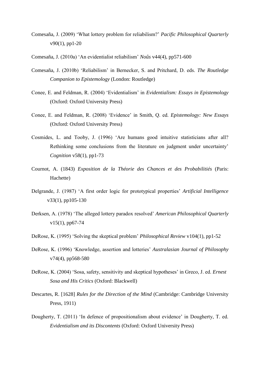- Comesaña, J. (2009) 'What lottery problem for reliabilism?' *Pacific Philosophical Quarterly* v90(1), pp1-20
- Comesaña, J. (2010a) 'An evidentialist reliabilism' *Noûs* v44(4), pp571-600
- Comesaña, J. (2010b) 'Reliabilism' in Bernecker, S. and Pritchard, D. eds. *The Routledge Companion to Epistemology* (London: Routledge)
- Conee, E. and Feldman, R. (2004) 'Evidentialism' in *Evidentialism: Essays in Epistemology* (Oxford: Oxford University Press)
- Conee, E. and Feldman, R. (2008) 'Evidence' in Smith, Q. ed. *Epistemology: New Essays* (Oxford: Oxford University Press)
- Cosmides, L. and Tooby, J. (1996) 'Are humans good intuitive statisticians after all? Rethinking some conclusions from the literature on judgment under uncertainty' *Cognition* v58(1), pp1-73
- Cournot, A. (1843) *Exposition de la Théorie des Chances et des Probabilitiés* (Paris: Hachette)
- Delgrande, J. (1987) 'A first order logic for prototypical properties' *Artificial Intelligence* v33(1), pp105-130
- Derksen, A. (1978) 'The alleged lottery paradox resolved' *American Philosophical Quarterly* v15(1), pp67-74
- DeRose, K. (1995) 'Solving the skeptical problem' *Philosophical Review* v104(1), pp1-52
- DeRose, K. (1996) 'Knowledge, assertion and lotteries' *Australasian Journal of Philosophy* v74(4), pp568-580
- DeRose, K. (2004) 'Sosa, safety, sensitivity and skeptical hypotheses' in Greco, J. ed. *Ernest Sosa and His Critics* (Oxford: Blackwell)
- Descartes, R. [1628] *Rules for the Direction of the Mind* (Cambridge: Cambridge University Press, 1911)
- Dougherty, T. (2011) 'In defence of propositionalism about evidence' in Dougherty, T. ed. *Evidentialism and its Discontents* (Oxford: Oxford University Press)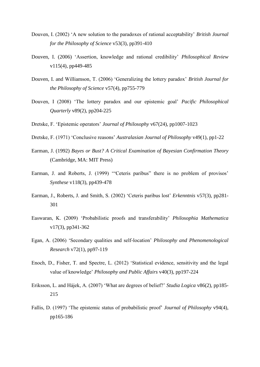- Douven, I. (2002) 'A new solution to the paradoxes of rational acceptability' *British Journal for the Philosophy of Science* v53(3), pp391-410
- Douven, I. (2006) 'Assertion, knowledge and rational credibility' *Philosophical Review* v115(4), pp449-485
- Douven, I. and Williamson, T. (2006) 'Generalizing the lottery paradox' *British Journal for the Philosophy of Science* v57(4), pp755-779
- Douven, I (2008) 'The lottery paradox and our epistemic goal' *Pacific Philosophical Quarterly* v89(2), pp204-225
- Dretske, F. 'Epistemic operators' *Journal of Philosophy* v67(24), pp1007-1023
- Dretske, F. (1971) 'Conclusive reasons' *Australasian Journal of Philosophy* v49(1), pp1-22
- Earman, J. (1992) *Bayes or Bust? A Critical Examination of Bayesian Confirmation Theory* (Cambridge, MA: MIT Press)
- Earman, J. and Roberts, J. (1999) '"Ceteris paribus" there is no problem of provisos' *Synthese* v118(3), pp439-478
- Earman, J., Roberts, J. and Smith, S. (2002) 'Ceteris paribus lost' *Erkenntnis* v57(3), pp281- 301
- Easwaran, K. (2009) 'Probabilistic proofs and transferability' *Philosophia Mathematica* v17(3), pp341-362
- Egan, A. (2006) 'Secondary qualities and self-location' *Philosophy and Phenomenological Research* v72(1), pp97-119
- Enoch, D., Fisher, T. and Spectre, L. (2012) 'Statistical evidence, sensitivity and the legal value of knowledge' *Philosophy and Public Affairs* v40(3), pp197-224
- Eriksson, L. and Hájek, A. (2007) 'What are degrees of belief?' *Studia Logica* v86(2), pp185- 215
- Fallis, D. (1997) 'The epistemic status of probabilistic proof' *Journal of Philosophy* v94(4), pp165-186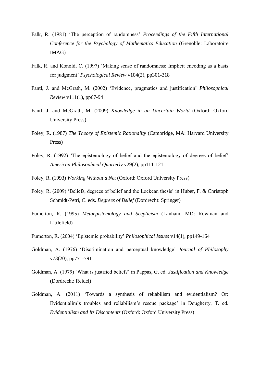- Falk, R. (1981) 'The perception of randomness' *Proceedings of the Fifth International Conference for the Psychology of Mathematics Education* (Grenoble: Laboratoire IMAG)
- Falk, R. and Konold, C. (1997) 'Making sense of randomness: Implicit encoding as a basis for judgment' *Psychological Review* v104(2), pp301-318
- Fantl, J. and McGrath, M. (2002) 'Evidence, pragmatics and justification' *Philosophical Review* v111(1), pp67-94
- Fantl, J. and McGrath, M. (2009) *Knowledge in an Uncertain World* (Oxford: Oxford University Press)
- Foley, R. (1987) *The Theory of Epistemic Rationality* (Cambridge, MA: Harvard University Press)
- Foley, R. (1992) 'The epistemology of belief and the epistemology of degrees of belief' *American Philosophical Quarterly* v29(2), pp111-121
- Foley, R. (1993) *Working Without a Net* (Oxford: Oxford University Press)
- Foley, R. (2009) 'Beliefs, degrees of belief and the Lockean thesis' in Huber, F. & Christoph Schmidt-Petri, C. eds. *Degrees of Belief* (Dordrecht: Springer)
- Fumerton, R. (1995) *Metaepistemology and Scepticism* (Lanham, MD: Rowman and Littlefield)
- Fumerton, R. (2004) 'Epistemic probability' *Philosophical Issues* v14(1), pp149-164
- Goldman, A. (1976) 'Discrimination and perceptual knowledge' *Journal of Philosophy* v73(20), pp771-791
- Goldman, A. (1979) 'What is justified belief?' in Pappas, G. ed. *Justification and Knowledge* (Dordrecht: Reidel)
- Goldman, A. (2011) 'Towards a synthesis of reliabilism and evidentialism? Or: Evidentialim's troubles and reliabilism's rescue package' in Dougherty, T. ed. *Evidentialism and Its Discontents* (Oxford: Oxford University Press)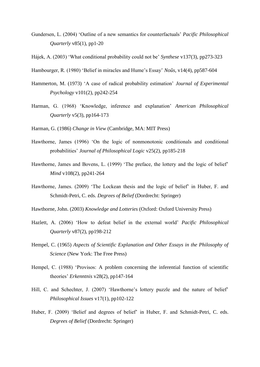- Gundersen, L. (2004) 'Outline of a new semantics for counterfactuals' *Pacific Philosophical Quarterly* v85(1), pp1-20
- Hájek, A. (2003) 'What conditional probability could not be' *Synthese* v137(3), pp273-323
- Hambourger, R. (1980) 'Belief in miracles and Hume's Essay' *Noûs*, v14(4), pp587-604
- Hammerton, M. (1973) 'A case of radical probability estimation' *Journal of Experimental Psychology* v101(2), pp242-254
- Harman, G. (1968) 'Knowledge, inference and explanation' *American Philosophical Quarterly* v5(3), pp164-173
- Harman, G. (1986) *Change in View* (Cambridge, MA: MIT Press)
- Hawthorne, James (1996) 'On the logic of nonmonotonic conditionals and conditional probabilities' *Journal of Philosophical Logic* v25(2), pp185-218
- Hawthorne, James and Bovens, L. (1999) 'The preface, the lottery and the logic of belief' *Mind* v108(2), pp241-264
- Hawthorne, James. (2009) 'The Lockean thesis and the logic of belief' in Huber, F. and Schmidt-Petri, C. eds. *Degrees of Belief* (Dordrecht: Springer)
- Hawthorne, John. (2003) *Knowledge and Lotteries* (Oxford: Oxford University Press)
- Hazlett, A. (2006) 'How to defeat belief in the external world' *Pacific Philosophical Quarterly* v87(2), pp198-212
- Hempel, C. (1965) *Aspects of Scientific Explanation and Other Essays in the Philosophy of Science* (New York: The Free Press)
- Hempel, C. (1988) 'Provisos: A problem concerning the inferential function of scientific theories' *Erkenntnis* v28(2), pp147-164
- Hill, C. and Schechter, J. (2007) 'Hawthorne's lottery puzzle and the nature of belief' *Philosophical Issues* v17(1), pp102-122
- Huber, F. (2009) 'Belief and degrees of belief' in Huber, F. and Schmidt-Petri, C. eds. *Degrees of Belief* (Dordrecht: Springer)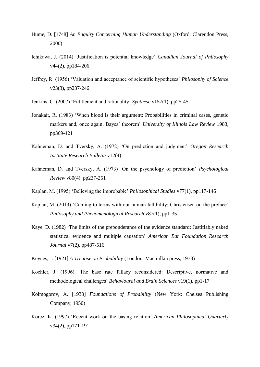- Hume, D. [1748] *An Enquiry Concerning Human Understanding* (Oxford: Clarendon Press, 2000)
- Ichikawa, J. (2014) 'Justification is potential knowledge' *Canadian Journal of Philosophy* v44(2), pp184-206
- Jeffrey, R. (1956) 'Valuation and acceptance of scientific hypotheses' *Philosophy of Science* v23(3), pp237-246
- Jenkins, C. (2007) 'Entitlement and rationality' *Synthese* v157(1), pp25-45
- Jonakait, R. (1983) 'When blood is their argument: Probabilities in criminal cases, genetic markers and, once again, Bayes' theorem' *University of Illinois Law Review* 1983, pp369-421
- Kahneman, D. and Tversky, A. (1972) 'On prediction and judgment' *Oregon Research Institute Research Bulletin* v12(4)
- Kahneman, D. and Tversky, A. (1973) 'On the psychology of prediction' *Psychological Review* v80(4), pp237-251
- Kaplan, M. (1995) 'Believing the improbable' *Philosophical Studies* v77(1), pp117-146
- Kaplan, M. (2013) 'Coming to terms with our human fallibility: Christensen on the preface' *Philosophy and Phenomenological Research* v87(1), pp1-35
- Kaye, D. (1982) 'The limits of the preponderance of the evidence standard: Justifiably naked statistical evidence and multiple causation' *American Bar Foundation Research Journal* v7(2), pp487-516
- Keynes, J. [1921] *A Treatise on Probability* (London: Macmillan press, 1973)
- Koehler, J. (1996) 'The base rate fallacy reconsidered: Descriptive, normative and methodological challenges' *Behavioural and Brain Sciences* v19(1), pp1-17
- Kolmogorov, A. [1933] *Foundations of Probability* (New York: Chelsea Publishing Company, 1950)
- Korcz, K. (1997) 'Recent work on the basing relation' *American Philosophical Quarterly* v34(2), pp171-191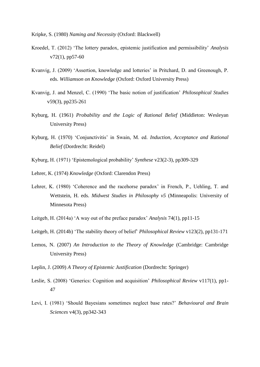Kripke, S. (1980) *Naming and Necessity* (Oxford: Blackwell)

- Kroedel, T. (2012) 'The lottery paradox, epistemic justification and permissibility' *Analysis*  $v72(1)$ , pp57-60
- Kvanvig, J. (2009) 'Assertion, knowledge and lotteries' in Pritchard, D. and Greenough, P. eds. *Williamson on Knowledge* (Oxford: Oxford University Press)
- Kvanvig, J. and Menzel, C. (1990) 'The basic notion of justification' *Philosophical Studies*  v59(3), pp235-261
- Kyburg, H. (1961) *Probability and the Logic of Rational Belief* (Middleton: Wesleyan University Press)
- Kyburg, H. (1970) 'Conjunctivitis' in Swain, M. ed. *Induction, Acceptance and Rational Belief* (Dordrecht: Reidel)
- Kyburg, H. (1971) 'Epistemological probability' *Synthese* v23(2-3), pp309-329
- Lehrer, K. (1974) *Knowledge* (Oxford: Clarendon Press)
- Lehrer, K. (1980) 'Coherence and the racehorse paradox' in French, P., Uehling, T. and Wettstein, H. eds. *Midwest Studies in Philosophy v5* (Minneapolis: University of Minnesota Press)
- Leitgeb, H. (2014a) 'A way out of the preface paradox' *Analysis* 74(1), pp11-15
- Leitgeb, H. (2014b) 'The stability theory of belief' *Philosophical Review* v123(2), pp131-171
- Lemos, N. (2007) *An Introduction to the Theory of Knowledge* (Cambridge: Cambridge University Press)
- Leplin, J. (2009) *A Theory of Epistemic Justification* (Dordrecht: Springer)
- Leslie, S. (2008) 'Generics: Cognition and acquisition' *Philosophical Review* v117(1), pp1- 47
- Levi, I. (1981) 'Should Bayesians sometimes neglect base rates?' *Behavioural and Brain Sciences* v4(3), pp342-343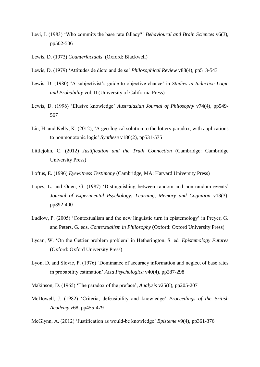- Levi, I. (1983) 'Who commits the base rate fallacy?' *Behavioural and Brain Sciences* v6(3), pp502-506
- Lewis, D. (1973) *Counterfactuals* (Oxford: Blackwell)
- Lewis, D. (1979) 'Attitudes de dicto and de se' *Philosophical Review* v88(4), pp513-543
- Lewis, D. (1980) 'A subjectivist's guide to objective chance' in *Studies in Inductive Logic and Probability* vol. II (University of California Press)
- Lewis, D. (1996) 'Elusive knowledge' *Australasian Journal of Philosophy* v74(4), pp549- 567
- Lin, H. and Kelly, K. (2012), 'A geo-logical solution to the lottery paradox, with applications to nonmonotonic logic' *Synthese* v186(2), pp531-575
- Littlejohn, C. (2012) *Justification and the Truth Connection* (Cambridge: Cambridge University Press)
- Loftus, E. (1996) *Eyewitness Testimony* (Cambridge, MA: Harvard University Press)
- Lopes, L. and Oden, G. (1987) 'Distinguishing between random and non-random events' *Journal of Experimental Psychology: Learning, Memory and Cognition* v13(3), pp392-400
- Ludlow, P. (2005) 'Contextualism and the new linguistic turn in epistemology' in Preyer, G. and Peters, G. eds. *Contextualism in Philosophy* (Oxford: Oxford University Press)
- Lycan, W. 'On the Gettier problem problem' in Hetherington, S. ed. *Epistemology Futures* (Oxford: Oxford University Press)
- Lyon, D. and Slovic, P. (1976) 'Dominance of accuracy information and neglect of base rates in probability estimation' *Acta Psychologica* v40(4), pp287-298

Makinson, D. (1965) 'The paradox of the preface', *Analysis* v25(6), pp205-207

- McDowell, J. (1982) 'Criteria, defeasibility and knowledge' *Proceedings of the British Academy* v68, pp455-479
- McGlynn, A. (2012) 'Justification as would-be knowledge' *Episteme* v9(4), pp361-376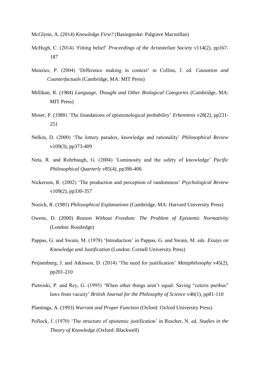- McGlynn, A. (2014) *Knowledge First?* (Basingstoke: Palgrave Macmillan)
- McHugh, C. (2014) 'Fitting belief' *Proceedings of the Aristotelian Society* v114(2), pp167- 187
- Menzies, P. (2004) 'Difference making in context' in Collins, J. ed. *Causation and Counterfactuals* (Cambridge, MA: MIT Press)
- Millikan, R. (1984) *Language, Thought and Other Biological Categories* (Cambridge, MA: MIT Press)
- Moser, P. (1988) 'The foundations of epistemological probability' *Erkenntnis* v28(2), pp231- 251
- Nelkin, D. (2000) 'The lottery paradox, knowledge and rationality' *Philosophical Review* v109(3), pp373-409
- Neta, R. and Rohrbaugh, G. (2004) 'Luminosity and the safety of knowledge' *Pacific Philosophical Quarterly* v85(4), pp396-406
- Nickerson, R. (2002) 'The production and perception of randomness' *Psychological Review*  v109(2), pp330-357
- Nozick, R. (1981) *Philosophical Explanations* (Cambridge, MA: Harvard University Press)
- Owens, D. (2000) *Reason Without Freedom: The Problem of Epistemic Normativity* (London: Routledge)
- Pappas, G. and Swain, M. (1978) 'Introduction' in Pappas, G. and Swain, M. eds. *Essays on Knowledge and Justification* (London: Cornell University Press)
- Peijnenburg, J. and Atkinson, D. (2014) 'The need for justification' *Metaphilosophy* v45(2), pp201-210
- Pietroski, P. and Rey, G. (1995) 'When other things aren't equal: Saving "ceteris paribus" laws from vacuity' *British Journal for the Philosophy of Science* v46(1), pp81-110
- Plantinga, A. (1993) *Warrant and Proper Function* (Oxford: Oxford University Press)
- Pollock, J. (1970) 'The structure of epistemic justification' in Rescher, N. ed. *Studies in the Theory of Knowledge* (Oxford: Blackwell)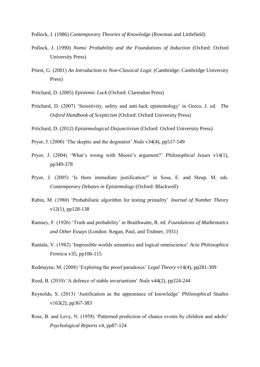Pollock, J. (1986) *Contemporary Theories of Knowledge* (Rowman and Littlefield)

- Pollock, J. (1990) *Nomic Probability and the Foundations of Induction* (Oxford: Oxford University Press)
- Priest, G. (2001) *An Introduction to Non-Classical Logic* (Cambridge: Cambridge University Press)
- Pritchard, D. (2005) *Epistemic Luck* (Oxford: Clarendon Press)
- Pritchard, D. (2007) 'Sensitivity, safety and anti-luck epistemology' in Greco, J. ed. *The Oxford Handbook of Scepticism* (Oxford: Oxford University Press)
- Pritchard, D. (2012) *Epistemological Disjunctivism* (Oxford: Oxford University Press)
- Pryor, J. (2000) 'The skeptic and the dogmatist' *Noûs* v34(4), pp517-549
- Pryor, J. (2004) 'What's wrong with Moore's argument?' *Philosophical Issues* v14(1), pp349-378
- Pryor, J. (2005) 'Is there immediate justification?' in Sosa, E. and Steup, M. eds. *Contemporary Debates in Epistemology* (Oxford: Blackwell)
- Rabin, M. (1980) 'Probabilistic algorithm for testing primality' *Journal of Number Theory* v12(1), pp128-138
- Ramsey, F. (1926) 'Truth and probability' in Braithwaite, R. ed. *Foundations of Mathematics and Other Essays* (London: Kegan, Paul, and Trubner, 1931)
- Rantala, V. (1982) 'Impossible worlds semantics and logical omniscience' *Acta Philosophica Fennica* v35, pp106-115
- Redmayne, M. (2008) 'Exploring the proof paradoxes' *Legal Theory* v14(4), pp281-309
- Reed, B. (2010) 'A defence of stable invariantism' *Noûs* v44(2), pp224-244
- Reynolds, S. (2013) 'Justification as the appearance of knowledge' *Philosophical Studies* v163(2), pp367-383
- Ross, B. and Levy, N. (1958) 'Patterned prediction of chance events by children and adults' *Psychological Reports* v4, pp87-124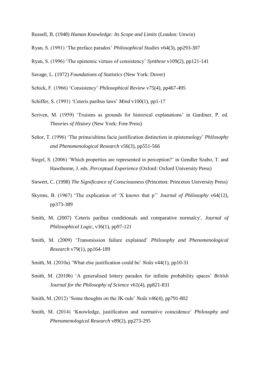Russell, B. (1948) *Human Knowledge: Its Scope and Limits* (London: Unwin)

- Ryan, S. (1991) 'The preface paradox' *Philosophical Studies* v64(3), pp293-307
- Ryan, S. (1996) 'The epistemic virtues of consistency' *Synthese* v109(2), pp121-141
- Savage, L. (1972) *Foundations of Statistics* (New York: Dover)
- Schick, F. (1966) 'Consistency' *Philosophical Review* v75(4), pp467-495
- Schiffer, S. (1991) 'Ceteris paribus laws' *Mind* v100(1), pp1-17
- Scriven, M. (1959) 'Truisms as grounds for historical explanations' in Gardiner, P. ed. *Theories of History* (New York: Free Press)
- Señor, T. (1996) 'The prima/ultima facie justification distinction in epistemology' *Philosophy and Phenomenological Research* v56(3), pp551-566
- Siegel, S. (2006) 'Which properties are represented in perception?' in Gendler Szabo, T. and Hawthorne, J. eds. *Perceptual Experience* (Oxford: Oxford University Press)
- Siewert, C. (1998) *The Significance of Consciousness* (Princeton: Princeton University Press)
- Skyrms, B. (1967) 'The explication of 'X knows that p'' *Journal of Philosophy* v64(12), pp373-389
- Smith, M. (2007) 'Ceteris paribus conditionals and comparative normalcy', *Journal of Philosophical Logic*, v36(1), pp97-121
- Smith, M. (2009) 'Transmission failure explained' *Philosophy and Phenomenological Research* v79(1), pp164-189
- Smith, M. (2010a) 'What else justification could be' *Noûs* v44(1), pp10-31
- Smith, M. (2010b) 'A generalised lottery paradox for infinite probability spaces' *British Journal for the Philosophy of Science* v61(4), pp821-831
- Smith, M. (2012) 'Some thoughts on the JK-rule' *Noûs* v46(4), pp791-802
- Smith, M. (2014) 'Knowledge, justification and normative coincidence' *Philosophy and Phenomenological Research* v89(2), pp273-295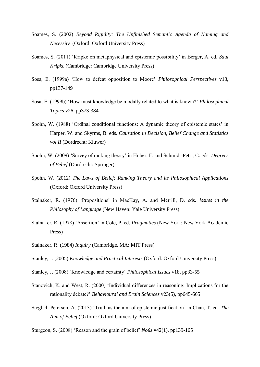- Soames, S. (2002) *Beyond Rigidity: The Unfinished Semantic Agenda of Naming and Necessity* (Oxford: Oxford University Press)
- Soames, S. (2011) 'Kripke on metaphysical and epistemic possibility' in Berger, A. ed. *Saul Kripke* (Cambridge: Cambridge University Press)
- Sosa, E. (1999a) 'How to defeat opposition to Moore' *Philosophical Perspectives* v13, pp137-149
- Sosa, E. (1999b) 'How must knowledge be modally related to what is known?' *Philosophical Topics* v26, pp373-384
- Spohn, W. (1988) 'Ordinal conditional functions: A dynamic theory of epistemic states' in Harper, W. and Skyrms, B. eds. *Causation in Decision, Belief Change and Statistics vol II* (Dordrecht: Kluwer)
- Spohn, W. (2009) 'Survey of ranking theory' in Huber, F. and Schmidt-Petri, C. eds. *Degrees of Belief* (Dordrecht: Springer)
- Spohn, W. (2012) *The Laws of Belief: Ranking Theory and its Philosophical Applications* (Oxford: Oxford University Press)
- Stalnaker, R. (1976) 'Propositions' in MacKay, A. and Merrill, D. eds. *Issues in the Philosophy of Language* (New Haven: Yale University Press)
- Stalnaker, R. (1978) 'Assertion' in Cole, P. ed. *Pragmatics* (New York: New York Academic Press)
- Stalnaker, R. (1984) *Inquiry* (Cambridge, MA: MIT Press)
- Stanley, J. (2005) *Knowledge and Practical Interests* (Oxford: Oxford University Press)
- Stanley, J. (2008) 'Knowledge and certainty' *Philosophical Issues* v18, pp33-55
- Stanovich, K. and West, R. (2000) 'Individual differences in reasoning: Implications for the rationality debate?' *Behavioural and Brain Sciences* v23(5), pp645-665
- Steglich-Petersen, A. (2013) 'Truth as the aim of epistemic justification' in Chan, T. ed. *The Aim of Belief* (Oxford: Oxford University Press)
- Sturgeon, S. (2008) 'Reason and the grain of belief' *Noûs* v42(1), pp139-165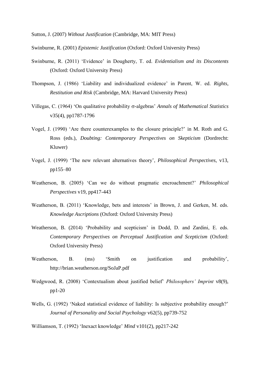Sutton, J. (2007) *Without Justification* (Cambridge, MA: MIT Press)

Swinburne, R. (2001) *Epistemic Justification* (Oxford: Oxford University Press)

- Swinburne, R. (2011) 'Evidence' in Dougherty, T. ed. *Evidentialism and its Discontents* (Oxford: Oxford University Press)
- Thompson, J. (1986) 'Liability and individualized evidence' in Parent, W. ed. *Rights, Restitution and Risk* (Cambridge, MA: Harvard University Press)
- Villegas, C. (1964) 'On qualitative probability -algebras' *Annals of Mathematical Statistics* v35(4), pp1787-1796
- Vogel, J. (1990) 'Are there counterexamples to the closure principle?' in M. Roth and G. Ross (eds.), *Doubting: Contemporary Perspectives on Skepticism* (Dordrecht: Kluwer)
- Vogel, J. (1999) 'The new relevant alternatives theory', *Philosophical Perspectives*, v13, pp155–80
- Weatherson, B. (2005) 'Can we do without pragmatic encroachment?' *Philosophical Perspectives* v19, pp417-443
- Weatherson, B. (2011) 'Knowledge, bets and interests' in Brown, J. and Gerken, M. eds. *Knowledge Ascriptions* (Oxford: Oxford University Press)
- Weatherson, B. (2014) 'Probability and scepticism' in Dodd, D. and Zardini, E. eds. *Contemporary Perspectives on Perceptual Justification and Scepticism* (Oxford: Oxford University Press)
- Weatherson, B. (ms) 'Smith on justification and probability', http://brian.weatherson.org/SoJaP.pdf
- Wedgwood, R. (2008) 'Contextualism about justified belief' *Philosophers' Imprint* v8(9), pp1-20
- Wells, G. (1992) 'Naked statistical evidence of liability: Is subjective probability enough?' *Journal of Personality and Social Psychology* v62(5), pp739-752

Williamson, T. (1992) 'Inexact knowledge' *Mind* v101(2), pp217-242